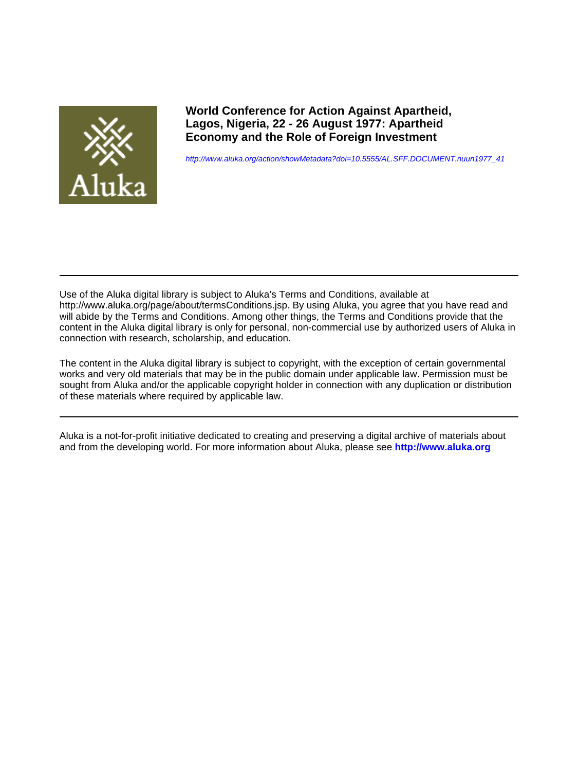

**World Conference for Action Against Apartheid, Lagos, Nigeria, 22 - 26 August 1977: Apartheid Economy and the Role of Foreign Investment**

[http://www.aluka.org/action/showMetadata?doi=10.5555/AL.SFF.DOCUMENT.nuun1977\\_41](http://www.aluka.org/action/showMetadata?doi=10.5555/AL.SFF.DOCUMENT.nuun1977_41)

Use of the Aluka digital library is subject to Aluka's Terms and Conditions, available at http://www.aluka.org/page/about/termsConditions.jsp. By using Aluka, you agree that you have read and will abide by the Terms and Conditions. Among other things, the Terms and Conditions provide that the content in the Aluka digital library is only for personal, non-commercial use by authorized users of Aluka in connection with research, scholarship, and education.

The content in the Aluka digital library is subject to copyright, with the exception of certain governmental works and very old materials that may be in the public domain under applicable law. Permission must be sought from Aluka and/or the applicable copyright holder in connection with any duplication or distribution of these materials where required by applicable law.

Aluka is a not-for-profit initiative dedicated to creating and preserving a digital archive of materials about and from the developing world. For more information about Aluka, please see **<http://www.aluka.org>**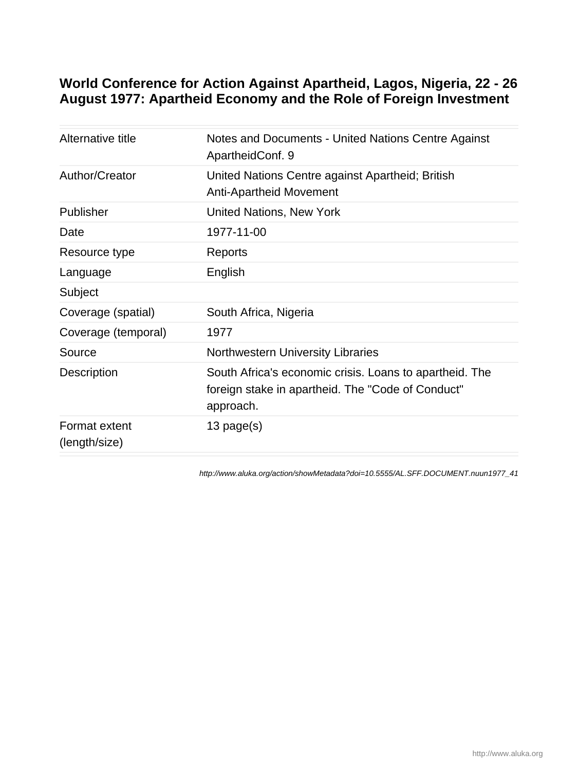# **World Conference for Action Against Apartheid, Lagos, Nigeria, 22 - 26 August 1977: Apartheid Economy and the Role of Foreign Investment**

| Alternative title              | Notes and Documents - United Nations Centre Against<br>ApartheidConf. 9                                                   |
|--------------------------------|---------------------------------------------------------------------------------------------------------------------------|
| Author/Creator                 | United Nations Centre against Apartheid; British<br><b>Anti-Apartheid Movement</b>                                        |
| Publisher                      | <b>United Nations, New York</b>                                                                                           |
| Date                           | 1977-11-00                                                                                                                |
| Resource type                  | Reports                                                                                                                   |
| Language                       | English                                                                                                                   |
| Subject                        |                                                                                                                           |
| Coverage (spatial)             | South Africa, Nigeria                                                                                                     |
| Coverage (temporal)            | 1977                                                                                                                      |
| Source                         | <b>Northwestern University Libraries</b>                                                                                  |
| Description                    | South Africa's economic crisis. Loans to apartheid. The<br>foreign stake in apartheid. The "Code of Conduct"<br>approach. |
| Format extent<br>(length/size) | $13$ page(s)                                                                                                              |
|                                |                                                                                                                           |

[http://www.aluka.org/action/showMetadata?doi=10.5555/AL.SFF.DOCUMENT.nuun1977\\_41](http://www.aluka.org/action/showMetadata?doi=10.5555/AL.SFF.DOCUMENT.nuun1977_41)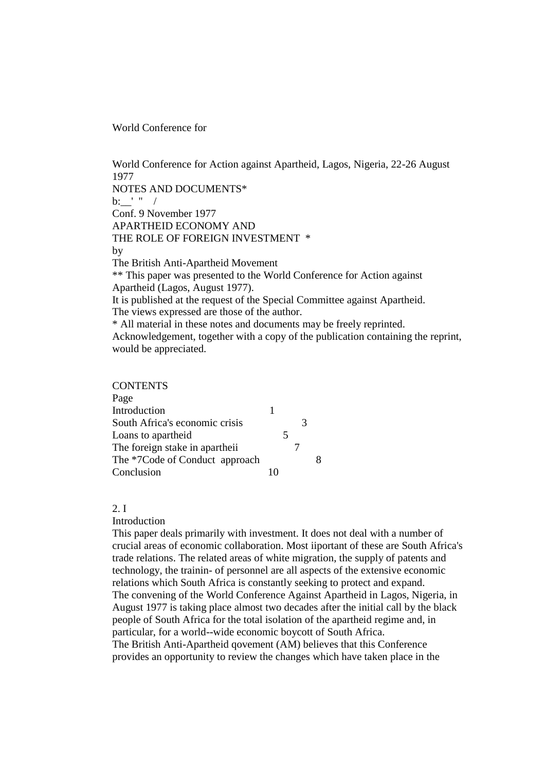World Conference for

World Conference for Action against Apartheid, Lagos, Nigeria, 22-26 August 1977 NOTES AND DOCUMENTS\*  $b:$   $\frac{1}{2}$  " / Conf. 9 November 1977 APARTHEID ECONOMY AND THE ROLE OF FOREIGN INVESTMENT \* by The British Anti-Apartheid Movement \*\* This paper was presented to the World Conference for Action against Apartheid (Lagos, August 1977). It is published at the request of the Special Committee against Apartheid. The views expressed are those of the author. \* All material in these notes and documents may be freely reprinted. Acknowledgement, together with a copy of the publication containing the reprint, would be appreciated. CONTENTE

| <b>CUNTENTS</b>                |  |   |   |  |
|--------------------------------|--|---|---|--|
| Page                           |  |   |   |  |
| Introduction                   |  |   |   |  |
| South Africa's economic crisis |  |   | 3 |  |
| Loans to apartheid             |  | 5 |   |  |
| The foreign stake in apartheii |  |   |   |  |
| The *7Code of Conduct approach |  |   |   |  |
| Conclusion                     |  |   |   |  |
|                                |  |   |   |  |

## $2<sub>1</sub>$

#### Introduction

This paper deals primarily with investment. It does not deal with a number of crucial areas of economic collaboration. Most iiportant of these are South Africa's trade relations. The related areas of white migration, the supply of patents and technology, the trainin- of personnel are all aspects of the extensive economic relations which South Africa is constantly seeking to protect and expand. The convening of the World Conference Against Apartheid in Lagos, Nigeria, in August 1977 is taking place almost two decades after the initial call by the black people of South Africa for the total isolation of the apartheid regime and, in particular, for a world--wide economic boycott of South Africa. The British Anti-Apartheid qovement (AM) believes that this Conference provides an opportunity to review the changes which have taken place in the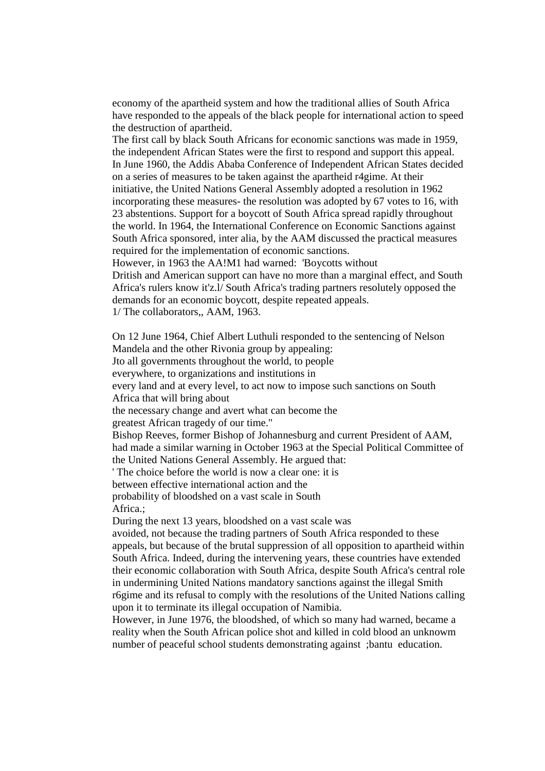economy of the apartheid system and how the traditional allies of South Africa have responded to the appeals of the black people for international action to speed the destruction of apartheid.

The first call by black South Africans for economic sanctions was made in 1959, the independent African States were the first to respond and support this appeal. In June 1960, the Addis Ababa Conference of Independent African States decided on a series of measures to be taken against the apartheid r4gime. At their initiative, the United Nations General Assembly adopted a resolution in 1962 incorporating these measures- the resolution was adopted by 67 votes to 16, with 23 abstentions. Support for a boycott of South Africa spread rapidly throughout the world. In 1964, the International Conference on Economic Sanctions against South Africa sponsored, inter alia, by the AAM discussed the practical measures required for the implementation of economic sanctions.

However, in 1963 the AA!M1 had warned: 'Boycotts without

Dritish and American support can have no more than a marginal effect, and South Africa's rulers know it'z.l/ South Africa's trading partners resolutely opposed the demands for an economic boycott, despite repeated appeals. 1/ The collaborators,, AAM, 1963.

On 12 June 1964, Chief Albert Luthuli responded to the sentencing of Nelson Mandela and the other Rivonia group by appealing: Jto all governments throughout the world, to people everywhere, to organizations and institutions in every land and at every level, to act now to impose such sanctions on South Africa that will bring about the necessary change and avert what can become the greatest African tragedy of our time." Bishop Reeves, former Bishop of Johannesburg and current President of AAM, had made a similar warning in October 1963 at the Special Political Committee of the United Nations General Assembly. He argued that: ' The choice before the world is now a clear one: it is between effective international action and the probability of bloodshed on a vast scale in South Africa.; During the next 13 years, bloodshed on a vast scale was avoided, not because the trading partners of South Africa responded to these appeals, but because of the brutal suppression of all opposition to apartheid within South Africa. Indeed, during the intervening years, these countries have extended their economic collaboration with South Africa, despite South Africa's central role in undermining United Nations mandatory sanctions against the illegal Smith r6gime and its refusal to comply with the resolutions of the United Nations calling upon it to terminate its illegal occupation of Namibia.

However, in June 1976, the bloodshed, of which so many had warned, became a reality when the South African police shot and killed in cold blood an unknowm number of peaceful school students demonstrating against ;bantu education.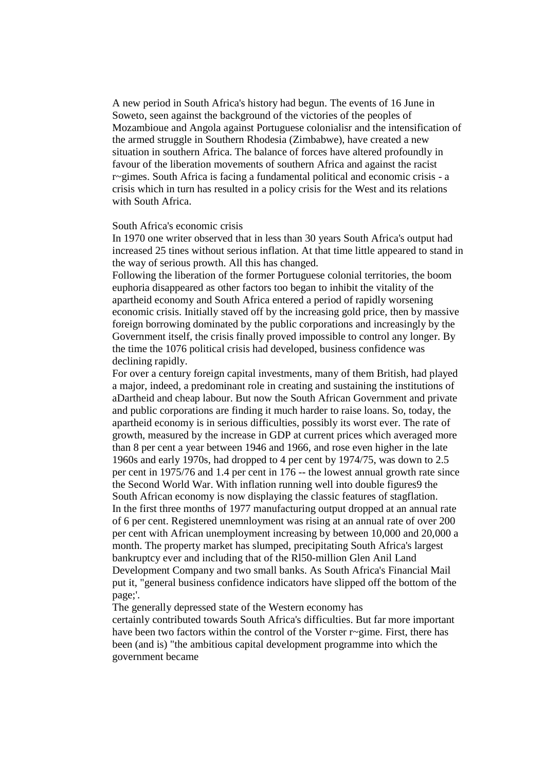A new period in South Africa's history had begun. The events of 16 June in Soweto, seen against the background of the victories of the peoples of Mozambioue and Angola against Portuguese colonialisr and the intensification of the armed struggle in Southern Rhodesia (Zimbabwe), have created a new situation in southern Africa. The balance of forces have altered profoundly in favour of the liberation movements of southern Africa and against the racist r~gimes. South Africa is facing a fundamental political and economic crisis - a crisis which in turn has resulted in a policy crisis for the West and its relations with South Africa.

#### South Africa's economic crisis

In 1970 one writer observed that in less than 30 years South Africa's output had increased 25 tines without serious inflation. At that time little appeared to stand in the way of serious prowth. All this has changed.

Following the liberation of the former Portuguese colonial territories, the boom euphoria disappeared as other factors too began to inhibit the vitality of the apartheid economy and South Africa entered a period of rapidly worsening economic crisis. Initially staved off by the increasing gold price, then by massive foreign borrowing dominated by the public corporations and increasingly by the Government itself, the crisis finally proved impossible to control any longer. By the time the 1076 political crisis had developed, business confidence was declining rapidly.

For over a century foreign capital investments, many of them British, had played a major, indeed, a predominant role in creating and sustaining the institutions of aDartheid and cheap labour. But now the South African Government and private and public corporations are finding it much harder to raise loans. So, today, the apartheid economy is in serious difficulties, possibly its worst ever. The rate of growth, measured by the increase in GDP at current prices which averaged more than 8 per cent a year between 1946 and 1966, and rose even higher in the late 1960s and early 1970s, had dropped to 4 per cent by 1974/75, was down to 2.5 per cent in 1975/76 and 1.4 per cent in 176 -- the lowest annual growth rate since the Second World War. With inflation running well into double figures9 the South African economy is now displaying the classic features of stagflation. In the first three months of 1977 manufacturing output dropped at an annual rate of 6 per cent. Registered unemnloyment was rising at an annual rate of over 200 per cent with African unemployment increasing by between 10,000 and 20,000 a month. The property market has slumped, precipitating South Africa's largest bankruptcy ever and including that of the Rl50-million Glen Anil Land Development Company and two small banks. As South Africa's Financial Mail put it, "general business confidence indicators have slipped off the bottom of the page;'.

The generally depressed state of the Western economy has certainly contributed towards South Africa's difficulties. But far more important have been two factors within the control of the Vorster r~gime. First, there has been (and is) "the ambitious capital development programme into which the government became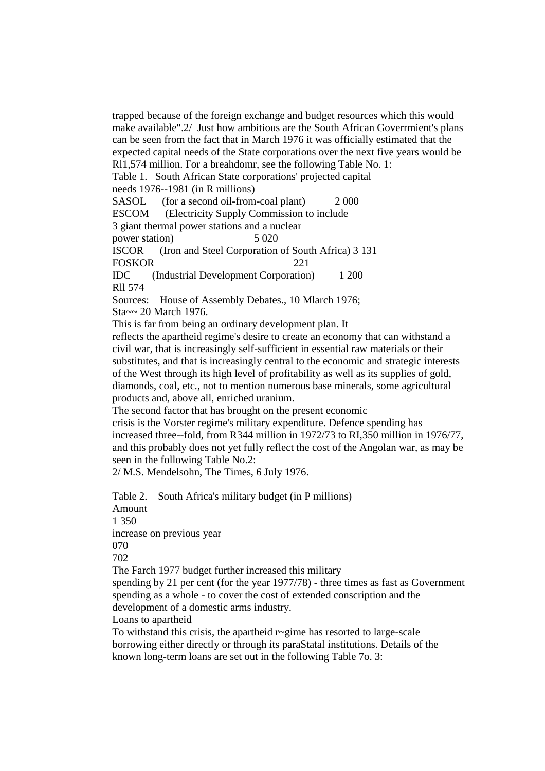trapped because of the foreign exchange and budget resources which this would make available".2/ Just how ambitious are the South African Goverrmient's plans can be seen from the fact that in March 1976 it was officially estimated that the expected capital needs of the State corporations over the next five years would be Rl1,574 million. For a breahdomr, see the following Table No. 1: Table 1. South African State corporations' projected capital needs 1976--1981 (in R millions) SASOL (for a second oil-from-coal plant) 2 000 ESCOM (Electricity Supply Commission to include 3 giant thermal power stations and a nuclear power station) 5 020 ISCOR (Iron and Steel Corporation of South Africa) 3 131 FOSKOR 221 IDC (Industrial Development Corporation) 1 200 Rll 574 Sources: House of Assembly Debates., 10 Mlarch 1976; Sta~~ 20 March 1976. This is far from being an ordinary development plan. It reflects the apartheid regime's desire to create an economy that can withstand a civil war, that is increasingly self-sufficient in essential raw materials or their substitutes, and that is increasingly central to the economic and strategic interests of the West through its high level of profitability as well as its supplies of gold, diamonds, coal, etc., not to mention numerous base minerals, some agricultural products and, above all, enriched uranium.

The second factor that has brought on the present economic

crisis is the Vorster regime's military expenditure. Defence spending has increased three--fold, from R344 million in 1972/73 to RI,350 million in 1976/77, and this probably does not yet fully reflect the cost of the Angolan war, as may be seen in the following Table No.2:

2/ M.S. Mendelsohn, The Times, 6 July 1976.

Table 2. South Africa's military budget (in P millions) Amount 1 350 increase on previous year 070 702 The Farch 1977 budget further increased this military spending by 21 per cent (for the year 1977/78) - three times as fast as Government spending as a whole - to cover the cost of extended conscription and the development of a domestic arms industry. Loans to apartheid

To withstand this crisis, the apartheid r~gime has resorted to large-scale borrowing either directly or through its paraStatal institutions. Details of the known long-term loans are set out in the following Table 7o. 3: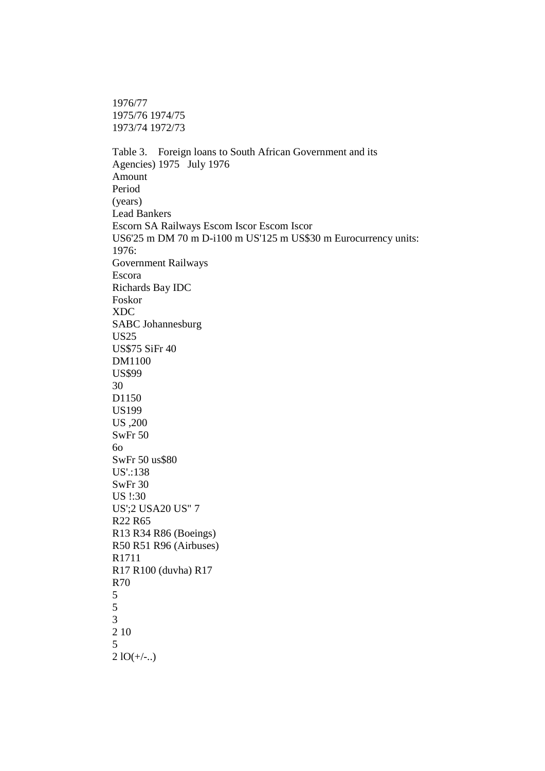1976/77 1975/76 1974/75 1973/74 1972/73

Table 3. Foreign loans to South African Government and its Agencies) 1975 July 1976 Amount Period (years) Lead Bankers Escorn SA Railways Escom Iscor Escom Iscor US6'25 m DM 70 m D-i100 m US'125 m US\$30 m Eurocurrency units: 1976: Government Railways Escora Richards Bay IDC Foskor XDC SABC Johannesburg US25 US\$75 SiFr 40 DM1100 US\$99 30 D<sub>1150</sub> US199 US ,200 SwFr 50 6o SwFr 50 us\$80 US'.:138 SwFr 30 US !:30 US';2 USA20 US" 7 R22 R65 R13 R34 R86 (Boeings) R50 R51 R96 (Airbuses) R1711 R17 R100 (duvha) R17 R70 5 5 3 2 10

5  $21O(+/-...)$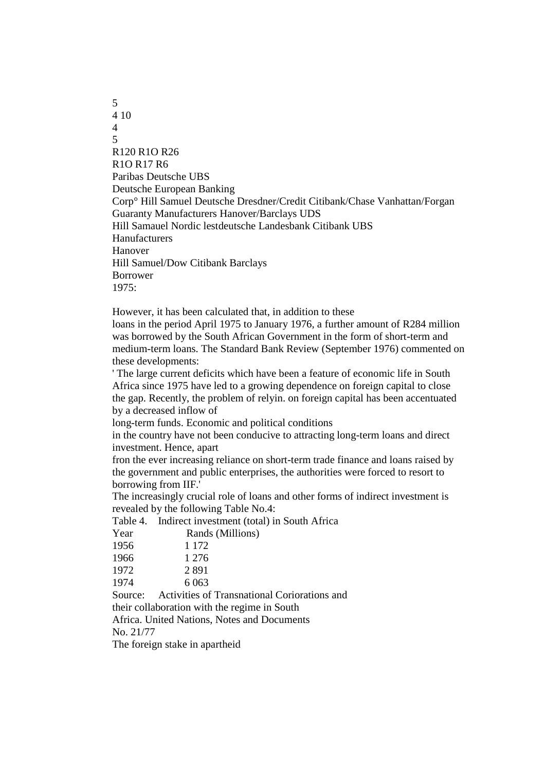5 4 10 4 5 R120 R1O R26 R1O R17 R6 Paribas Deutsche UBS Deutsche European Banking Corp° Hill Samuel Deutsche Dresdner/Credit Citibank/Chase Vanhattan/Forgan Guaranty Manufacturers Hanover/Barclays UDS Hill Samauel Nordic lestdeutsche Landesbank Citibank UBS Hanufacturers Hanover Hill Samuel/Dow Citibank Barclays Borrower 1975:

However, it has been calculated that, in addition to these loans in the period April 1975 to January 1976, a further amount of R284 million was borrowed by the South African Government in the form of short-term and medium-term loans. The Standard Bank Review (September 1976) commented on these developments:

' The large current deficits which have been a feature of economic life in South Africa since 1975 have led to a growing dependence on foreign capital to close the gap. Recently, the problem of relyin. on foreign capital has been accentuated by a decreased inflow of

long-term funds. Economic and political conditions

in the country have not been conducive to attracting long-term loans and direct investment. Hence, apart

fron the ever increasing reliance on short-term trade finance and loans raised by the government and public enterprises, the authorities were forced to resort to borrowing from IIF.'

The increasingly crucial role of loans and other forms of indirect investment is revealed by the following Table No.4:

Table 4. Indirect investment (total) in South Africa Year Rands (Millions) 1956 1 172 1966 1 276 1972 2 891 1974 6 063 Source: Activities of Transnational Coriorations and their collaboration with the regime in South Africa. United Nations, Notes and Documents No. 21/77 The foreign stake in apartheid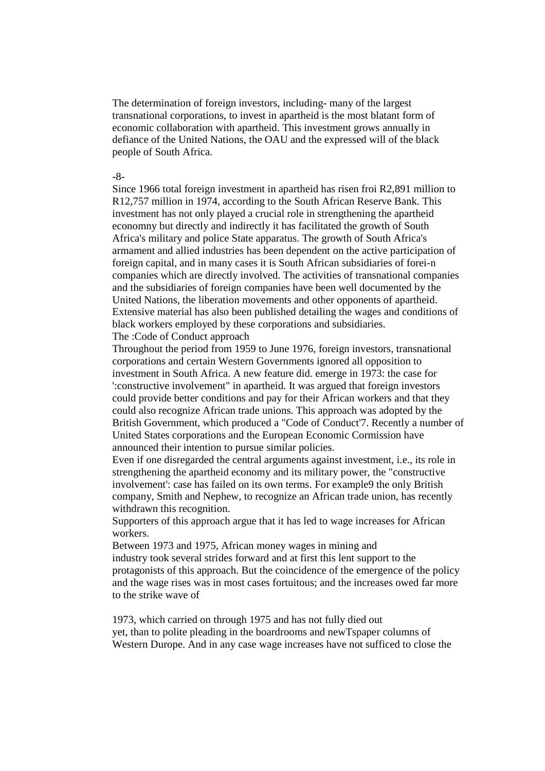The determination of foreign investors, including- many of the largest transnational corporations, to invest in apartheid is the most blatant form of economic collaboration with apartheid. This investment grows annually in defiance of the United Nations, the OAU and the expressed will of the black people of South Africa.

### -8-

Since 1966 total foreign investment in apartheid has risen froi R2,891 million to R12,757 million in 1974, according to the South African Reserve Bank. This investment has not only played a crucial role in strengthening the apartheid economny but directly and indirectly it has facilitated the growth of South Africa's military and police State apparatus. The growth of South Africa's armament and allied industries has been dependent on the active participation of foreign capital, and in many cases it is South African subsidiaries of forei-n companies which are directly involved. The activities of transnational companies and the subsidiaries of foreign companies have been well documented by the United Nations, the liberation movements and other opponents of apartheid. Extensive material has also been published detailing the wages and conditions of black workers employed by these corporations and subsidiaries. The :Code of Conduct approach

Throughout the period from 1959 to June 1976, foreign investors, transnational corporations and certain Western Governments ignored all opposition to investment in South Africa. A new feature did. emerge in 1973: the case for ':constructive involvement" in apartheid. It was argued that foreign investors could provide better conditions and pay for their African workers and that they could also recognize African trade unions. This approach was adopted by the British Government, which produced a "Code of Conduct'7. Recently a number of United States corporations and the European Economic Cormission have announced their intention to pursue similar policies.

Even if one disregarded the central arguments against investment, i.e., its role in strengthening the apartheid economy and its military power, the "constructive involvement': case has failed on its own terms. For example9 the only British company, Smith and Nephew, to recognize an African trade union, has recently withdrawn this recognition.

Supporters of this approach argue that it has led to wage increases for African workers.

Between 1973 and 1975, African money wages in mining and industry took several strides forward and at first this lent support to the protagonists of this approach. But the coincidence of the emergence of the policy and the wage rises was in most cases fortuitous; and the increases owed far more to the strike wave of

1973, which carried on through 1975 and has not fully died out yet, than to polite pleading in the boardrooms and newTspaper columns of Western Durope. And in any case wage increases have not sufficed to close the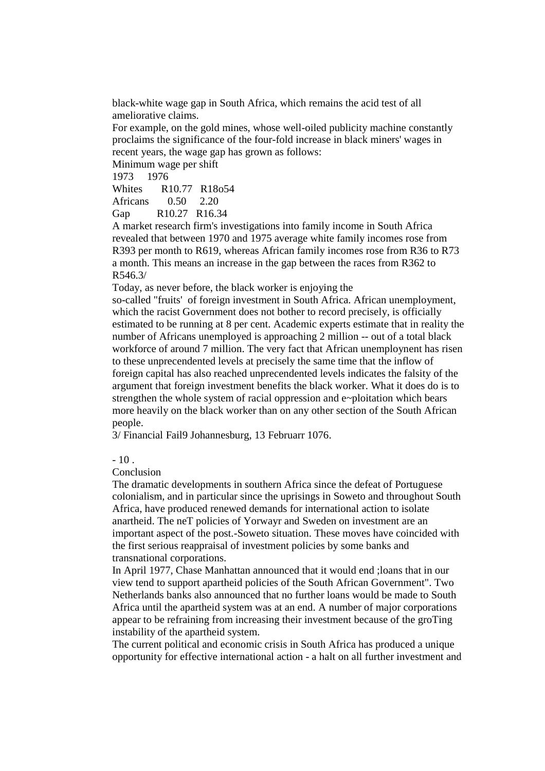black-white wage gap in South Africa, which remains the acid test of all ameliorative claims.

For example, on the gold mines, whose well-oiled publicity machine constantly proclaims the significance of the four-fold increase in black miners' wages in recent years, the wage gap has grown as follows:

Minimum wage per shift

1973 1976

Whites R10.77 R18o54

Africans 0.50 2.20

Gap R10.27 R16.34

A market research firm's investigations into family income in South Africa revealed that between 1970 and 1975 average white family incomes rose from R393 per month to R619, whereas African family incomes rose from R36 to R73 a month. This means an increase in the gap between the races from R362 to R546.3/

Today, as never before, the black worker is enjoying the

so-called "fruits' of foreign investment in South Africa. African unemployment, which the racist Government does not bother to record precisely, is officially estimated to be running at 8 per cent. Academic experts estimate that in reality the number of Africans unemployed is approaching 2 million -- out of a total black workforce of around 7 million. The very fact that African unemploynent has risen to these unprecendented levels at precisely the same time that the inflow of foreign capital has also reached unprecendented levels indicates the falsity of the argument that foreign investment benefits the black worker. What it does do is to strengthen the whole system of racial oppression and e~ploitation which bears more heavily on the black worker than on any other section of the South African people.

3/ Financial Fail9 Johannesburg, 13 Februarr 1076.

 $-10$ .

Conclusion

The dramatic developments in southern Africa since the defeat of Portuguese colonialism, and in particular since the uprisings in Soweto and throughout South Africa, have produced renewed demands for international action to isolate anartheid. The neT policies of Yorwayr and Sweden on investment are an important aspect of the post.-Soweto situation. These moves have coincided with the first serious reappraisal of investment policies by some banks and transnational corporations.

In April 1977, Chase Manhattan announced that it would end ;loans that in our view tend to support apartheid policies of the South African Government". Two Netherlands banks also announced that no further loans would be made to South Africa until the apartheid system was at an end. A number of major corporations appear to be refraining from increasing their investment because of the groTing instability of the apartheid system.

The current political and economic crisis in South Africa has produced a unique opportunity for effective international action - a halt on all further investment and